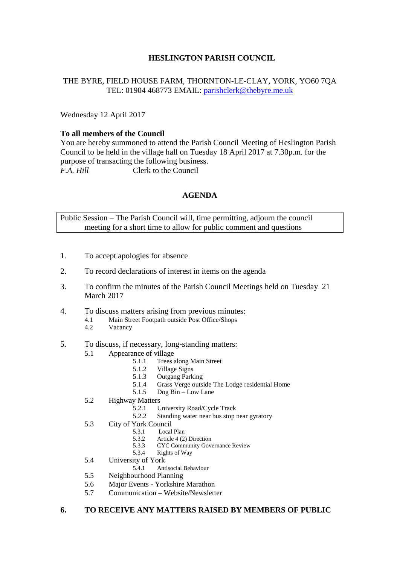# **HESLINGTON PARISH COUNCIL**

### THE BYRE, FIELD HOUSE FARM, THORNTON-LE-CLAY, YORK, YO60 7QA TEL: 01904 468773 EMAIL: [parishclerk@thebyre.me.uk](mailto:parishclerk@thebyre.me.uk)

Wednesday 12 April 2017

### **To all members of the Council**

You are hereby summoned to attend the Parish Council Meeting of Heslington Parish Council to be held in the village hall on Tuesday 18 April 2017 at 7.30p.m. for the purpose of transacting the following business. *F.A. Hill* Clerk to the Council

# **AGENDA**

Public Session – The Parish Council will, time permitting, adjourn the council meeting for a short time to allow for public comment and questions

- 1. To accept apologies for absence
- 2. To record declarations of interest in items on the agenda
- 3. To confirm the minutes of the Parish Council Meetings held on Tuesday 21 March 2017
- 4. To discuss matters arising from previous minutes:
	- 4.1 Main Street Footpath outside Post Office/Shops
	- 4.2 Vacancy
- 5. To discuss, if necessary, long-standing matters:
	- 5.1 Appearance of village
		- 5.1.1 Trees along Main Street
		- 5.1.2 Village Signs
		- 5.1.3 Outgang Parking<br>5.1.4 Grass Verge outsi
		- 5.1.4 Grass Verge outside The Lodge residential Home<br>5.1.5 Dog Bin Low Lane
		- Dog Bin Low Lane
	- 5.2 Highway Matters
		- 5.2.1 University Road/Cycle Track<br>5.2.2 Standing water near bus stop
		- Standing water near bus stop near gyratory
	- 5.3 City of York Council
		- 5.3.1 Local Plan<br>5.3.2 Article 4.0
		- 5.3.2 Article 4 (2) Direction<br>5.3.3 CYC Community Gove
			- 5.3.3 CYC Community Governance Review
		- 5.3.4 Rights of Way
	- 5.4 University of York
		- 5.4.1 Antisocial Behaviour
	- 5.5 Neighbourhood Planning
	- 5.6 Major Events Yorkshire Marathon
	- 5.7 Communication Website/Newsletter

#### **6. TO RECEIVE ANY MATTERS RAISED BY MEMBERS OF PUBLIC**